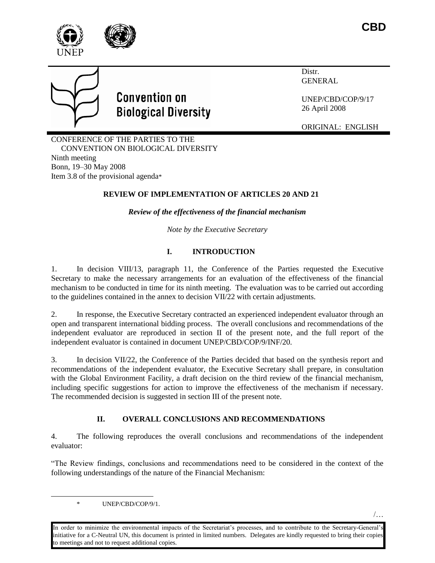



# **Convention on Biological Diversity**

Distr. GENERAL

UNEP/CBD/COP/9/17 26 April 2008

ORIGINAL: ENGLISH

CONFERENCE OF THE PARTIES TO THE CONVENTION ON BIOLOGICAL DIVERSITY Ninth meeting Bonn, 19–30 May 2008 Item 3.8 of the provisional agenda\*

# **REVIEW OF IMPLEMENTATION OF ARTICLES 20 AND 21**

*Review of the effectiveness of the financial mechanism* 

*Note by the Executive Secretary*

# **I. INTRODUCTION**

1. In decision VIII/13, paragraph 11, the Conference of the Parties requested the Executive Secretary to make the necessary arrangements for an evaluation of the effectiveness of the financial mechanism to be conducted in time for its ninth meeting. The evaluation was to be carried out according to the guidelines contained in the annex to decision VII/22 with certain adjustments.

2. In response, the Executive Secretary contracted an experienced independent evaluator through an open and transparent international bidding process. The overall conclusions and recommendations of the independent evaluator are reproduced in section II of the present note, and the full report of the independent evaluator is contained in document UNEP/CBD/COP/9/INF/20.

3. In decision VII/22, the Conference of the Parties decided that based on the synthesis report and recommendations of the independent evaluator, the Executive Secretary shall prepare, in consultation with the Global Environment Facility, a draft decision on the third review of the financial mechanism, including specific suggestions for action to improve the effectiveness of the mechanism if necessary. The recommended decision is suggested in section III of the present note.

# **II. OVERALL CONCLUSIONS AND RECOMMENDATIONS**

4. The following reproduces the overall conclusions and recommendations of the independent evaluator:

"The Review findings, conclusions and recommendations need to be considered in the context of the following understandings of the nature of the Financial Mechanism:

 $\overline{a}$ 

In order to minimize the environmental impacts of the Secretariat's processes, and to contribute to the Secretary-General's initiative for a C-Neutral UN, this document is printed in limited numbers. Delegates are kindly requested to bring their copies to meetings and not to request additional copies.

<sup>\*</sup> UNEP/CBD/COP/9/1.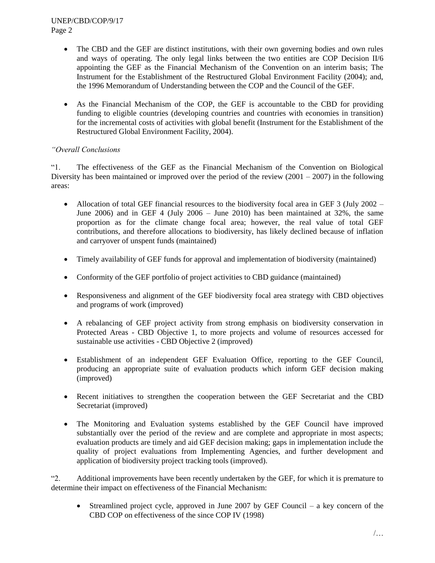#### UNEP/CBD/COP/9/17 Page 2

- The CBD and the GEF are distinct institutions, with their own governing bodies and own rules and ways of operating. The only legal links between the two entities are COP Decision  $II/6$ appointing the GEF as the Financial Mechanism of the Convention on an interim basis; The Instrument for the Establishment of the Restructured Global Environment Facility (2004); and, the 1996 Memorandum of Understanding between the COP and the Council of the GEF.
- As the Financial Mechanism of the COP, the GEF is accountable to the CBD for providing funding to eligible countries (developing countries and countries with economies in transition) for the incremental costs of activities with global benefit (Instrument for the Establishment of the Restructured Global Environment Facility, 2004).

## *"Overall Conclusions*

"1. The effectiveness of the GEF as the Financial Mechanism of the Convention on Biological Diversity has been maintained or improved over the period of the review  $(2001 - 2007)$  in the following areas:

- Allocation of total GEF financial resources to the biodiversity focal area in GEF 3 (July 2002 June 2006) and in GEF 4 (July 2006 – June 2010) has been maintained at 32%, the same proportion as for the climate change focal area; however, the real value of total GEF contributions, and therefore allocations to biodiversity, has likely declined because of inflation and carryover of unspent funds (maintained)
- Timely availability of GEF funds for approval and implementation of biodiversity (maintained)
- Conformity of the GEF portfolio of project activities to CBD guidance (maintained)
- Responsiveness and alignment of the GEF biodiversity focal area strategy with CBD objectives and programs of work (improved)
- A rebalancing of GEF project activity from strong emphasis on biodiversity conservation in Protected Areas - CBD Objective 1, to more projects and volume of resources accessed for sustainable use activities - CBD Objective 2 (improved)
- Establishment of an independent GEF Evaluation Office, reporting to the GEF Council, producing an appropriate suite of evaluation products which inform GEF decision making (improved)
- Recent initiatives to strengthen the cooperation between the GEF Secretariat and the CBD Secretariat (improved)
- The Monitoring and Evaluation systems established by the GEF Council have improved substantially over the period of the review and are complete and appropriate in most aspects; evaluation products are timely and aid GEF decision making; gaps in implementation include the quality of project evaluations from Implementing Agencies, and further development and application of biodiversity project tracking tools (improved).

"2. Additional improvements have been recently undertaken by the GEF, for which it is premature to determine their impact on effectiveness of the Financial Mechanism:

 $\bullet$  Streamlined project cycle, approved in June 2007 by GEF Council – a key concern of the CBD COP on effectiveness of the since COP IV (1998)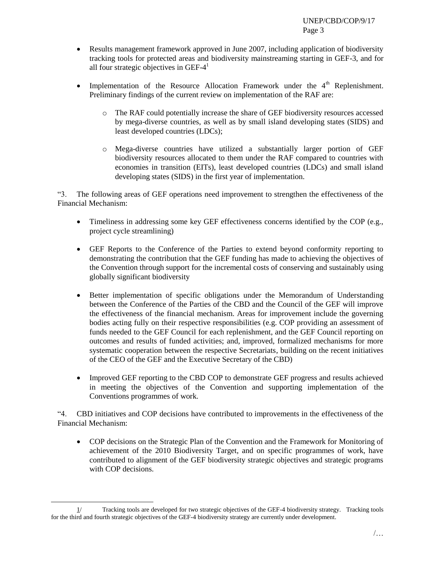- Results management framework approved in June 2007, including application of biodiversity tracking tools for protected areas and biodiversity mainstreaming starting in GEF-3, and for all four strategic objectives in GEF- $4<sup>1</sup>$
- Implementation of the Resource Allocation Framework under the  $4<sup>th</sup>$  Replenishment. Preliminary findings of the current review on implementation of the RAF are:
	- o The RAF could potentially increase the share of GEF biodiversity resources accessed by mega-diverse countries, as well as by small island developing states (SIDS) and least developed countries (LDCs);
	- o Mega-diverse countries have utilized a substantially larger portion of GEF biodiversity resources allocated to them under the RAF compared to countries with economies in transition (EITs), least developed countries (LDCs) and small island developing states (SIDS) in the first year of implementation.

"3. The following areas of GEF operations need improvement to strengthen the effectiveness of the Financial Mechanism:

- Timeliness in addressing some key GEF effectiveness concerns identified by the COP (e.g., project cycle streamlining)
- GEF Reports to the Conference of the Parties to extend beyond conformity reporting to demonstrating the contribution that the GEF funding has made to achieving the objectives of the Convention through support for the incremental costs of conserving and sustainably using globally significant biodiversity
- Better implementation of specific obligations under the Memorandum of Understanding between the Conference of the Parties of the CBD and the Council of the GEF will improve the effectiveness of the financial mechanism. Areas for improvement include the governing bodies acting fully on their respective responsibilities (e.g. COP providing an assessment of funds needed to the GEF Council for each replenishment, and the GEF Council reporting on outcomes and results of funded activities; and, improved, formalized mechanisms for more systematic cooperation between the respective Secretariats, building on the recent initiatives of the CEO of the GEF and the Executive Secretary of the CBD)
- Improved GEF reporting to the CBD COP to demonstrate GEF progress and results achieved in meeting the objectives of the Convention and supporting implementation of the Conventions programmes of work.

"4. CBD initiatives and COP decisions have contributed to improvements in the effectiveness of the Financial Mechanism:

 COP decisions on the Strategic Plan of the Convention and the Framework for Monitoring of achievement of the 2010 Biodiversity Target, and on specific programmes of work, have contributed to alignment of the GEF biodiversity strategic objectives and strategic programs with COP decisions.

l

<sup>1/</sup> Tracking tools are developed for two strategic objectives of the GEF-4 biodiversity strategy. Tracking tools for the third and fourth strategic objectives of the GEF-4 biodiversity strategy are currently under development.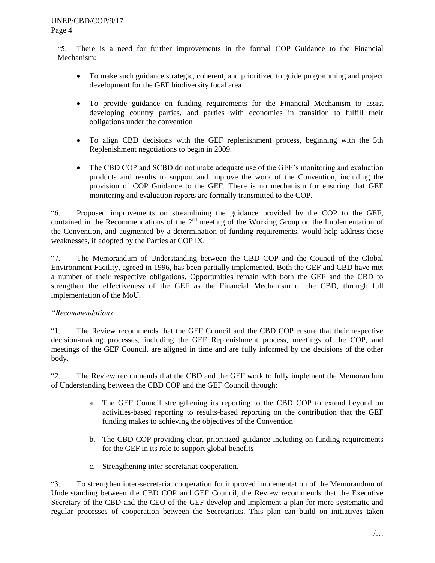"5. There is a need for further improvements in the formal COP Guidance to the Financial Mechanism:

- To make such guidance strategic, coherent, and prioritized to guide programming and project development for the GEF biodiversity focal area
- To provide guidance on funding requirements for the Financial Mechanism to assist developing country parties, and parties with economies in transition to fulfill their obligations under the convention
- To align CBD decisions with the GEF replenishment process, beginning with the 5th Replenishment negotiations to begin in 2009.
- The CBD COP and SCBD do not make adequate use of the GEF's monitoring and evaluation products and results to support and improve the work of the Convention, including the provision of COP Guidance to the GEF. There is no mechanism for ensuring that GEF monitoring and evaluation reports are formally transmitted to the COP.

"6. Proposed improvements on streamlining the guidance provided by the COP to the GEF, contained in the Recommendations of the 2<sup>nd</sup> meeting of the Working Group on the Implementation of the Convention, and augmented by a determination of funding requirements, would help address these weaknesses, if adopted by the Parties at COP IX.

"7. The Memorandum of Understanding between the CBD COP and the Council of the Global Environment Facility, agreed in 1996, has been partially implemented. Both the GEF and CBD have met a number of their respective obligations. Opportunities remain with both the GEF and the CBD to strengthen the effectiveness of the GEF as the Financial Mechanism of the CBD, through full implementation of the MoU.

## *"Recommendations*

"1. The Review recommends that the GEF Council and the CBD COP ensure that their respective decision-making processes, including the GEF Replenishment process, meetings of the COP, and meetings of the GEF Council, are aligned in time and are fully informed by the decisions of the other body.

"2. The Review recommends that the CBD and the GEF work to fully implement the Memorandum of Understanding between the CBD COP and the GEF Council through:

- a. The GEF Council strengthening its reporting to the CBD COP to extend beyond on activities-based reporting to results-based reporting on the contribution that the GEF funding makes to achieving the objectives of the Convention
- b. The CBD COP providing clear, prioritized guidance including on funding requirements for the GEF in its role to support global benefits
- c. Strengthening inter-secretariat cooperation.

"3. To strengthen inter-secretariat cooperation for improved implementation of the Memorandum of Understanding between the CBD COP and GEF Council, the Review recommends that the Executive Secretary of the CBD and the CEO of the GEF develop and implement a plan for more systematic and regular processes of cooperation between the Secretariats. This plan can build on initiatives taken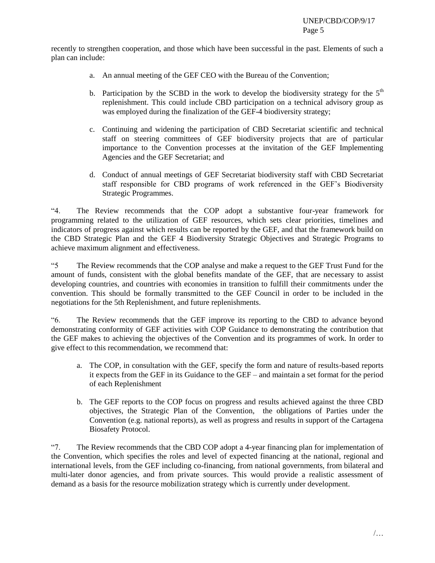recently to strengthen cooperation, and those which have been successful in the past. Elements of such a plan can include:

- a. An annual meeting of the GEF CEO with the Bureau of the Convention;
- b. Participation by the SCBD in the work to develop the biodiversity strategy for the  $5<sup>th</sup>$ replenishment. This could include CBD participation on a technical advisory group as was employed during the finalization of the GEF-4 biodiversity strategy;
- c. Continuing and widening the participation of CBD Secretariat scientific and technical staff on steering committees of GEF biodiversity projects that are of particular importance to the Convention processes at the invitation of the GEF Implementing Agencies and the GEF Secretariat; and
- d. Conduct of annual meetings of GEF Secretariat biodiversity staff with CBD Secretariat staff responsible for CBD programs of work referenced in the GEF's Biodiversity Strategic Programmes.

"4. The Review recommends that the COP adopt a substantive four-year framework for programming related to the utilization of GEF resources, which sets clear priorities, timelines and indicators of progress against which results can be reported by the GEF, and that the framework build on the CBD Strategic Plan and the GEF 4 Biodiversity Strategic Objectives and Strategic Programs to achieve maximum alignment and effectiveness.

"5 The Review recommends that the COP analyse and make a request to the GEF Trust Fund for the amount of funds, consistent with the global benefits mandate of the GEF, that are necessary to assist developing countries, and countries with economies in transition to fulfill their commitments under the convention. This should be formally transmitted to the GEF Council in order to be included in the negotiations for the 5th Replenishment, and future replenishments.

"6. The Review recommends that the GEF improve its reporting to the CBD to advance beyond demonstrating conformity of GEF activities with COP Guidance to demonstrating the contribution that the GEF makes to achieving the objectives of the Convention and its programmes of work. In order to give effect to this recommendation, we recommend that:

- a. The COP, in consultation with the GEF, specify the form and nature of results-based reports it expects from the GEF in its Guidance to the GEF – and maintain a set format for the period of each Replenishment
- b. The GEF reports to the COP focus on progress and results achieved against the three CBD objectives, the Strategic Plan of the Convention, the obligations of Parties under the Convention (e.g. national reports), as well as progress and results in support of the Cartagena Biosafety Protocol.

"7. The Review recommends that the CBD COP adopt a 4-year financing plan for implementation of the Convention, which specifies the roles and level of expected financing at the national, regional and international levels, from the GEF including co-financing, from national governments, from bilateral and multi-later donor agencies, and from private sources. This would provide a realistic assessment of demand as a basis for the resource mobilization strategy which is currently under development.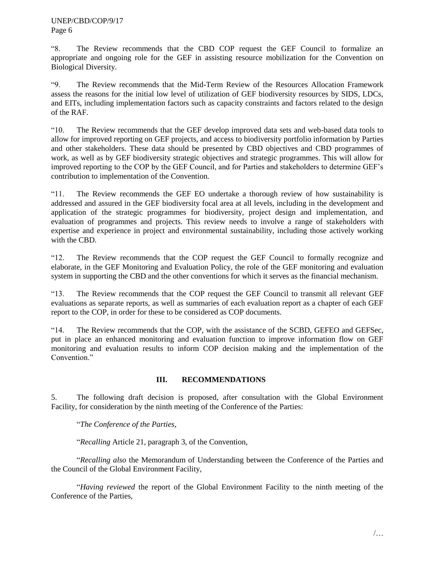"8. The Review recommends that the CBD COP request the GEF Council to formalize an appropriate and ongoing role for the GEF in assisting resource mobilization for the Convention on Biological Diversity.

"9. The Review recommends that the Mid-Term Review of the Resources Allocation Framework assess the reasons for the initial low level of utilization of GEF biodiversity resources by SIDS, LDCs, and EITs, including implementation factors such as capacity constraints and factors related to the design of the RAF.

"10. The Review recommends that the GEF develop improved data sets and web-based data tools to allow for improved reporting on GEF projects, and access to biodiversity portfolio information by Parties and other stakeholders. These data should be presented by CBD objectives and CBD programmes of work, as well as by GEF biodiversity strategic objectives and strategic programmes. This will allow for improved reporting to the COP by the GEF Council, and for Parties and stakeholders to determine GEF's contribution to implementation of the Convention.

"11. The Review recommends the GEF EO undertake a thorough review of how sustainability is addressed and assured in the GEF biodiversity focal area at all levels, including in the development and application of the strategic programmes for biodiversity, project design and implementation, and evaluation of programmes and projects. This review needs to involve a range of stakeholders with expertise and experience in project and environmental sustainability, including those actively working with the CBD.

"12. The Review recommends that the COP request the GEF Council to formally recognize and elaborate, in the GEF Monitoring and Evaluation Policy, the role of the GEF monitoring and evaluation system in supporting the CBD and the other conventions for which it serves as the financial mechanism.

"13. The Review recommends that the COP request the GEF Council to transmit all relevant GEF evaluations as separate reports, as well as summaries of each evaluation report as a chapter of each GEF report to the COP, in order for these to be considered as COP documents.

"14. The Review recommends that the COP, with the assistance of the SCBD, GEFEO and GEFSec, put in place an enhanced monitoring and evaluation function to improve information flow on GEF monitoring and evaluation results to inform COP decision making and the implementation of the Convention."

## **III. RECOMMENDATIONS**

5. The following draft decision is proposed, after consultation with the Global Environment Facility, for consideration by the ninth meeting of the Conference of the Parties:

"*The Conference of the Parties*,

"*Recalling* Article 21, paragraph 3, of the Convention,

"*Recalling also* the Memorandum of Understanding between the Conference of the Parties and the Council of the Global Environment Facility,

"*Having reviewed* the report of the Global Environment Facility to the ninth meeting of the Conference of the Parties,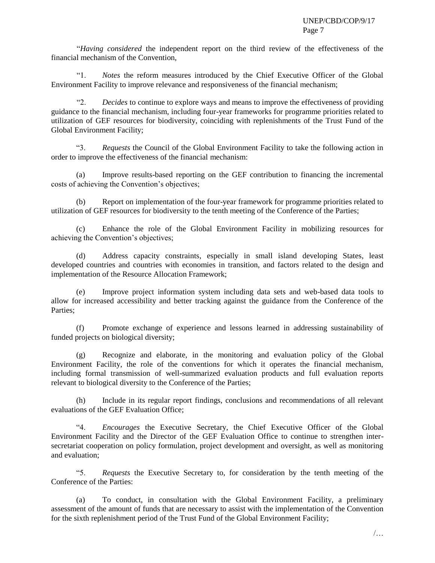"*Having considered* the independent report on the third review of the effectiveness of the financial mechanism of the Convention,

"1. *Notes* the reform measures introduced by the Chief Executive Officer of the Global Environment Facility to improve relevance and responsiveness of the financial mechanism;

Decides to continue to explore ways and means to improve the effectiveness of providing guidance to the financial mechanism, including four-year frameworks for programme priorities related to utilization of GEF resources for biodiversity, coinciding with replenishments of the Trust Fund of the Global Environment Facility;

"3. *Requests* the Council of the Global Environment Facility to take the following action in order to improve the effectiveness of the financial mechanism:

(a) Improve results-based reporting on the GEF contribution to financing the incremental costs of achieving the Convention's objectives;

(b) Report on implementation of the four-year framework for programme priorities related to utilization of GEF resources for biodiversity to the tenth meeting of the Conference of the Parties;

(c) Enhance the role of the Global Environment Facility in mobilizing resources for achieving the Convention's objectives;

(d) Address capacity constraints, especially in small island developing States, least developed countries and countries with economies in transition, and factors related to the design and implementation of the Resource Allocation Framework;

(e) Improve project information system including data sets and web-based data tools to allow for increased accessibility and better tracking against the guidance from the Conference of the Parties;

(f) Promote exchange of experience and lessons learned in addressing sustainability of funded projects on biological diversity;

(g) Recognize and elaborate, in the monitoring and evaluation policy of the Global Environment Facility, the role of the conventions for which it operates the financial mechanism, including formal transmission of well-summarized evaluation products and full evaluation reports relevant to biological diversity to the Conference of the Parties;

(h) Include in its regular report findings, conclusions and recommendations of all relevant evaluations of the GEF Evaluation Office;

"4. *Encourages* the Executive Secretary, the Chief Executive Officer of the Global Environment Facility and the Director of the GEF Evaluation Office to continue to strengthen intersecretariat cooperation on policy formulation, project development and oversight, as well as monitoring and evaluation;

"5. *Requests* the Executive Secretary to, for consideration by the tenth meeting of the Conference of the Parties:

(a) To conduct, in consultation with the Global Environment Facility, a preliminary assessment of the amount of funds that are necessary to assist with the implementation of the Convention for the sixth replenishment period of the Trust Fund of the Global Environment Facility;